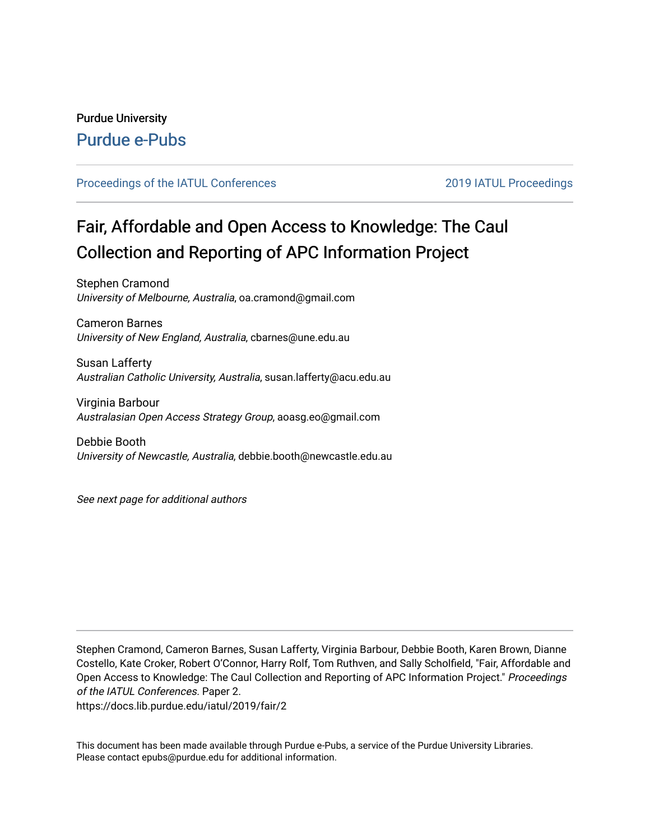## Purdue University [Purdue e-Pubs](https://docs.lib.purdue.edu/)

#### [Proceedings of the IATUL Conferences](https://docs.lib.purdue.edu/iatul) 2019 2019 IATUL Proceedings

# Fair, Affordable and Open Access to Knowledge: The Caul Collection and Reporting of APC Information Project

Stephen Cramond University of Melbourne, Australia, oa.cramond@gmail.com

Cameron Barnes University of New England, Australia, cbarnes@une.edu.au

Susan Lafferty Australian Catholic University, Australia, susan.lafferty@acu.edu.au

Virginia Barbour Australasian Open Access Strategy Group, aoasg.eo@gmail.com

Debbie Booth University of Newcastle, Australia, debbie.booth@newcastle.edu.au

See next page for additional authors

Stephen Cramond, Cameron Barnes, Susan Lafferty, Virginia Barbour, Debbie Booth, Karen Brown, Dianne Costello, Kate Croker, Robert O'Connor, Harry Rolf, Tom Ruthven, and Sally Scholfield, "Fair, Affordable and Open Access to Knowledge: The Caul Collection and Reporting of APC Information Project." Proceedings of the IATUL Conferences. Paper 2.

https://docs.lib.purdue.edu/iatul/2019/fair/2

This document has been made available through Purdue e-Pubs, a service of the Purdue University Libraries. Please contact epubs@purdue.edu for additional information.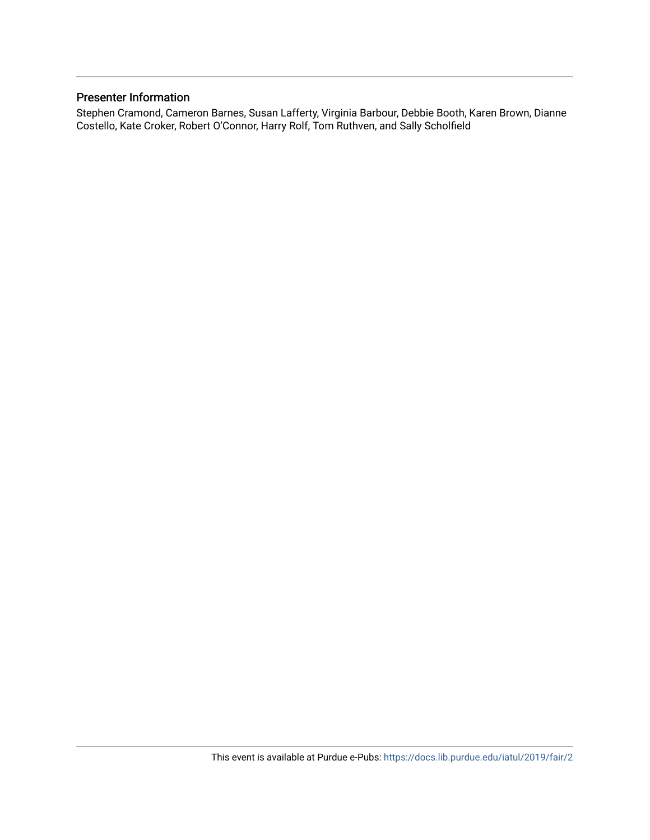#### Presenter Information

Stephen Cramond, Cameron Barnes, Susan Lafferty, Virginia Barbour, Debbie Booth, Karen Brown, Dianne Costello, Kate Croker, Robert O'Connor, Harry Rolf, Tom Ruthven, and Sally Scholfield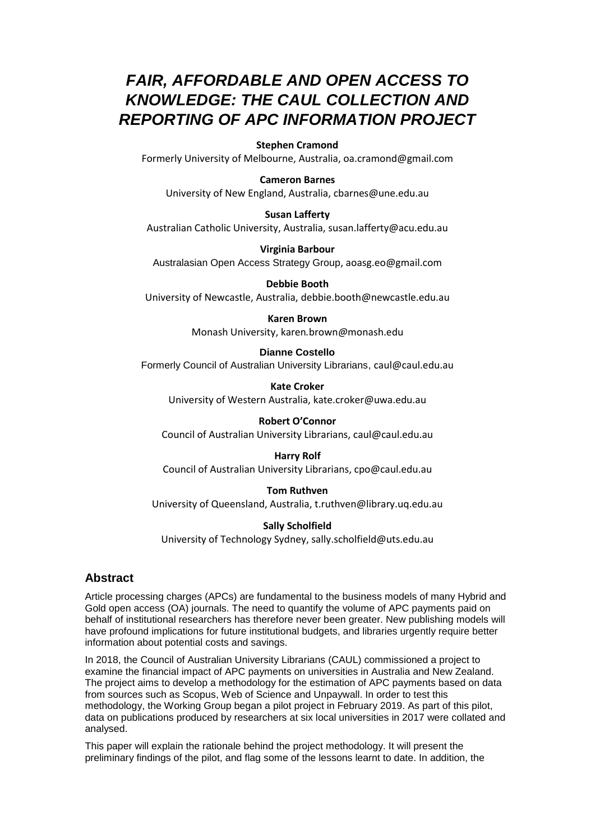# *FAIR, AFFORDABLE AND OPEN ACCESS TO KNOWLEDGE: THE CAUL COLLECTION AND REPORTING OF APC INFORMATION PROJECT*

#### **Stephen Cramond**

Formerly University of Melbourne, Australia, oa.cramond@gmail.com

#### **Cameron Barnes**

University of New England, Australia, cbarnes@une.edu.au

#### **Susan Lafferty**

Australian Catholic University, Australia, susan.lafferty@acu.edu.au

**Virginia Barbour** Australasian Open Access Strategy Group, aoasg.eo@gmail.com

**Debbie Booth** University of Newcastle, Australia, debbie.booth@newcastle.edu.au

#### **Karen Brown**

Monash University, karen*.*brown*@*monash.edu

#### **Dianne Costello**

Formerly Council of Australian University Librarians, caul@caul.edu.au

**Kate Croker**  University of Western Australia, kate.croker@uwa.edu.au

**Robert O'Connor** Council of Australian University Librarians, caul@caul.edu.au

#### **Harry Rolf**

Council of Australian University Librarians, cpo@caul.edu.au

#### **Tom Ruthven**

University of Queensland, Australia, t.ruthven@library.uq.edu.au

#### **Sally Scholfield**

University of Technology Sydney, sally.scholfield@uts.edu.au

#### **Abstract**

Article processing charges (APCs) are fundamental to the business models of many Hybrid and Gold open access (OA) journals. The need to quantify the volume of APC payments paid on behalf of institutional researchers has therefore never been greater. New publishing models will have profound implications for future institutional budgets, and libraries urgently require better information about potential costs and savings.

In 2018, the Council of Australian University Librarians (CAUL) commissioned a project to examine the financial impact of APC payments on universities in Australia and New Zealand. The project aims to develop a methodology for the estimation of APC payments based on data from sources such as Scopus, Web of Science and Unpaywall. In order to test this methodology, the Working Group began a pilot project in February 2019. As part of this pilot, data on publications produced by researchers at six local universities in 2017 were collated and analysed.

This paper will explain the rationale behind the project methodology. It will present the preliminary findings of the pilot, and flag some of the lessons learnt to date. In addition, the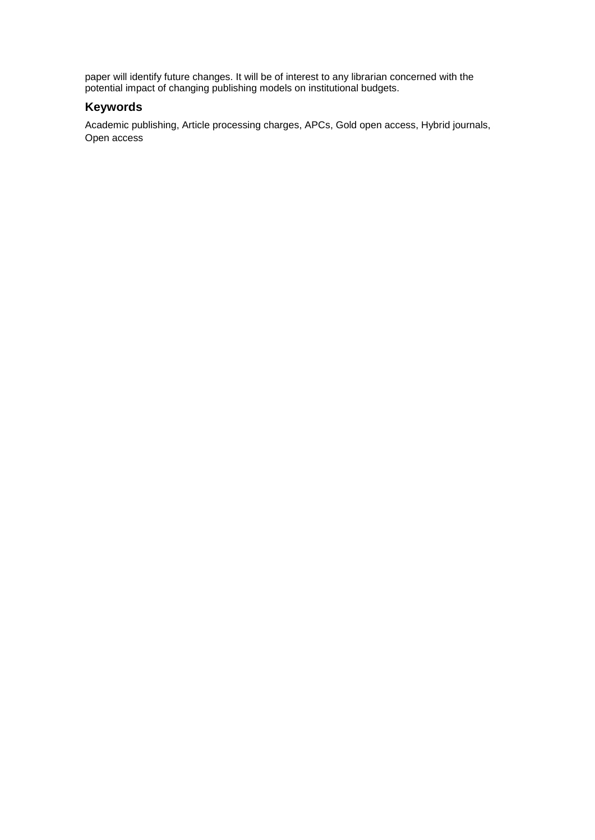paper will identify future changes. It will be of interest to any librarian concerned with the potential impact of changing publishing models on institutional budgets.

#### **Keywords**

Academic publishing, Article processing charges, APCs, Gold open access, Hybrid journals, Open access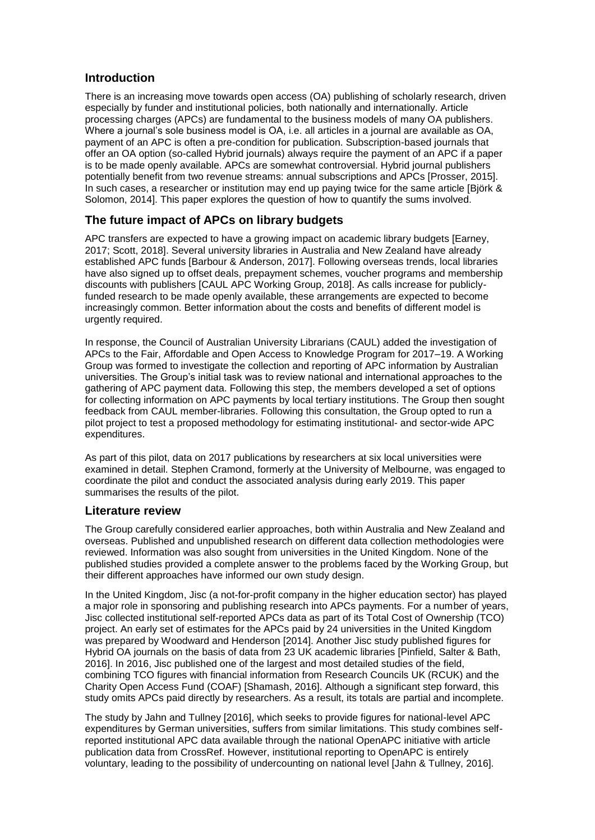#### **Introduction**

There is an increasing move towards open access (OA) publishing of scholarly research, driven especially by funder and institutional policies, both nationally and internationally. Article processing charges (APCs) are fundamental to the business models of many OA publishers. Where a journal's sole business model is OA, i.e. all articles in a journal are available as OA, payment of an APC is often a pre-condition for publication. Subscription-based journals that offer an OA option (so-called Hybrid journals) always require the payment of an APC if a paper is to be made openly available. APCs are somewhat controversial. Hybrid journal publishers potentially benefit from two revenue streams: annual subscriptions and APCs [Prosser, 2015]. In such cases, a researcher or institution may end up paying twice for the same article [Björk & Solomon, 2014]. This paper explores the question of how to quantify the sums involved.

#### **The future impact of APCs on library budgets**

APC transfers are expected to have a growing impact on academic library budgets [Earney, 2017; Scott, 2018]. Several university libraries in Australia and New Zealand have already established APC funds [Barbour & Anderson, 2017]. Following overseas trends, local libraries have also signed up to offset deals, prepayment schemes, voucher programs and membership discounts with publishers [CAUL APC Working Group, 2018]. As calls increase for publiclyfunded research to be made openly available, these arrangements are expected to become increasingly common. Better information about the costs and benefits of different model is urgently required.

In response, the Council of Australian University Librarians (CAUL) added the investigation of APCs to the Fair, Affordable and Open Access to Knowledge Program for 2017–19. A Working Group was formed to investigate the collection and reporting of APC information by Australian universities. The Group's initial task was to review national and international approaches to the gathering of APC payment data. Following this step, the members developed a set of options for collecting information on APC payments by local tertiary institutions. The Group then sought feedback from CAUL member-libraries. Following this consultation, the Group opted to run a pilot project to test a proposed methodology for estimating institutional- and sector-wide APC expenditures.

As part of this pilot, data on 2017 publications by researchers at six local universities were examined in detail. Stephen Cramond, formerly at the University of Melbourne, was engaged to coordinate the pilot and conduct the associated analysis during early 2019. This paper summarises the results of the pilot.

#### **Literature review**

The Group carefully considered earlier approaches, both within Australia and New Zealand and overseas. Published and unpublished research on different data collection methodologies were reviewed. Information was also sought from universities in the United Kingdom. None of the published studies provided a complete answer to the problems faced by the Working Group, but their different approaches have informed our own study design.

In the United Kingdom, Jisc (a not-for-profit company in the higher education sector) has played a major role in sponsoring and publishing research into APCs payments. For a number of years, Jisc collected institutional self-reported APCs data as part of its Total Cost of Ownership (TCO) project. An early set of estimates for the APCs paid by 24 universities in the United Kingdom was prepared by Woodward and Henderson [2014]. Another Jisc study published figures for Hybrid OA journals on the basis of data from 23 UK academic libraries [Pinfield, Salter & Bath, 2016]. In 2016, Jisc published one of the largest and most detailed studies of the field, combining TCO figures with financial information from Research Councils UK (RCUK) and the Charity Open Access Fund (COAF) [Shamash, 2016]. Although a significant step forward, this study omits APCs paid directly by researchers. As a result, its totals are partial and incomplete.

The study by Jahn and Tullney [2016], which seeks to provide figures for national-level APC expenditures by German universities, suffers from similar limitations. This study combines selfreported institutional APC data available through the national OpenAPC initiative with article publication data from CrossRef. However, institutional reporting to OpenAPC is entirely voluntary, leading to the possibility of undercounting on national level [Jahn & Tullney, 2016].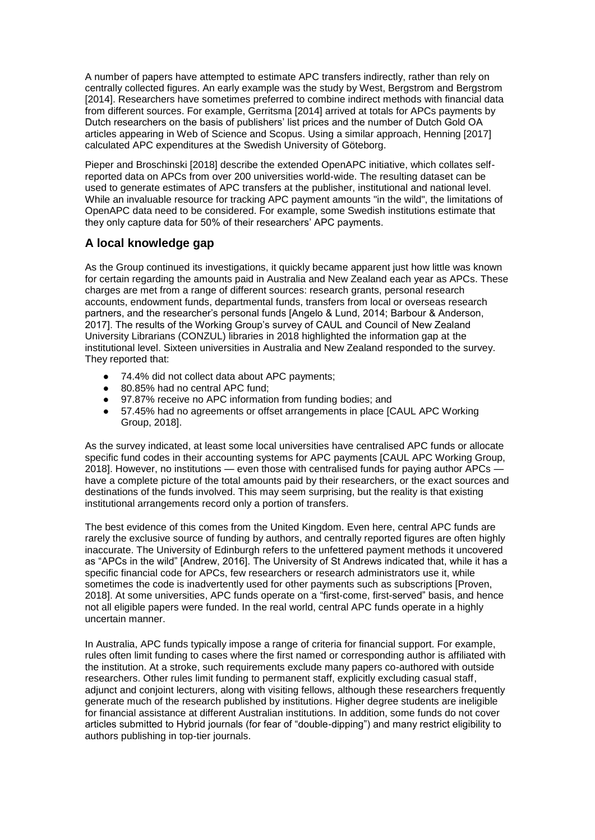A number of papers have attempted to estimate APC transfers indirectly, rather than rely on centrally collected figures. An early example was the study by West, Bergstrom and Bergstrom [2014]. Researchers have sometimes preferred to combine indirect methods with financial data from different sources. For example, Gerritsma [2014] arrived at totals for APCs payments by Dutch researchers on the basis of publishers' list prices and the number of Dutch Gold OA articles appearing in Web of Science and Scopus. Using a similar approach, Henning [2017] calculated APC expenditures at the Swedish University of Göteborg.

Pieper and Broschinski [2018] describe the extended OpenAPC initiative, which collates selfreported data on APCs from over 200 universities world-wide. The resulting dataset can be used to generate estimates of APC transfers at the publisher, institutional and national level. While an invaluable resource for tracking APC payment amounts "in the wild", the limitations of OpenAPC data need to be considered. For example, some Swedish institutions estimate that they only capture data for 50% of their researchers' APC payments.

### **A local knowledge gap**

As the Group continued its investigations, it quickly became apparent just how little was known for certain regarding the amounts paid in Australia and New Zealand each year as APCs. These charges are met from a range of different sources: research grants, personal research accounts, endowment funds, departmental funds, transfers from local or overseas research partners, and the researcher's personal funds [Angelo & Lund, 2014; Barbour & Anderson, 2017]. The results of the Working Group's survey of CAUL and Council of New Zealand University Librarians (CONZUL) libraries in 2018 highlighted the information gap at the institutional level. Sixteen universities in Australia and New Zealand responded to the survey. They reported that:

- 74.4% did not collect data about APC payments:
- 80.85% had no central APC fund;
- 97.87% receive no APC information from funding bodies; and
- 57.45% had no agreements or offset arrangements in place [CAUL APC Working Group, 2018].

As the survey indicated, at least some local universities have centralised APC funds or allocate specific fund codes in their accounting systems for APC payments [CAUL APC Working Group, 2018]. However, no institutions — even those with centralised funds for paying author APCs have a complete picture of the total amounts paid by their researchers, or the exact sources and destinations of the funds involved. This may seem surprising, but the reality is that existing institutional arrangements record only a portion of transfers.

The best evidence of this comes from the United Kingdom. Even here, central APC funds are rarely the exclusive source of funding by authors, and centrally reported figures are often highly inaccurate. The University of Edinburgh refers to the unfettered payment methods it uncovered as "APCs in the wild" [Andrew, 2016]. The University of St Andrews indicated that, while it has a specific financial code for APCs, few researchers or research administrators use it, while sometimes the code is inadvertently used for other payments such as subscriptions [Proven, 2018]. At some universities, APC funds operate on a "first-come, first-served" basis, and hence not all eligible papers were funded. In the real world, central APC funds operate in a highly uncertain manner.

In Australia, APC funds typically impose a range of criteria for financial support. For example, rules often limit funding to cases where the first named or corresponding author is affiliated with the institution. At a stroke, such requirements exclude many papers co-authored with outside researchers. Other rules limit funding to permanent staff, explicitly excluding casual staff, adjunct and conjoint lecturers, along with visiting fellows, although these researchers frequently generate much of the research published by institutions. Higher degree students are ineligible for financial assistance at different Australian institutions. In addition, some funds do not cover articles submitted to Hybrid journals (for fear of "double-dipping") and many restrict eligibility to authors publishing in top-tier journals.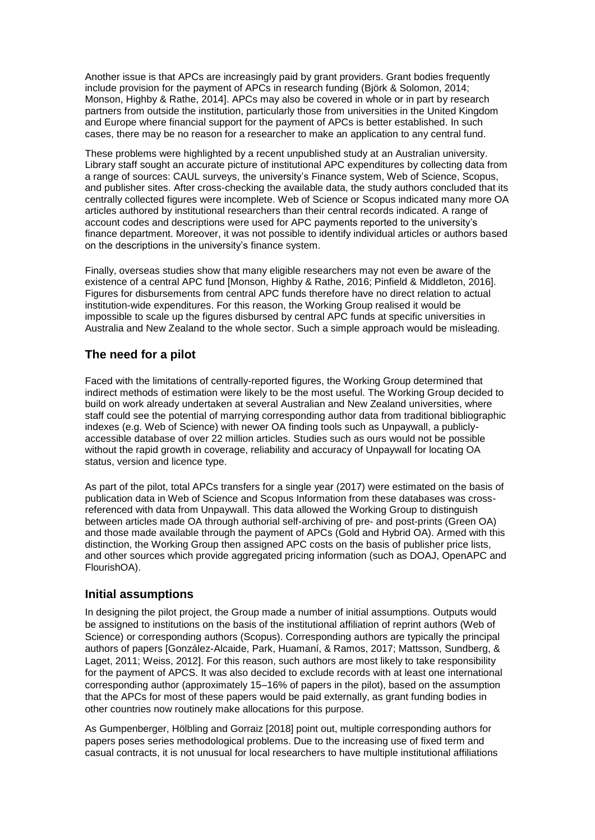Another issue is that APCs are increasingly paid by grant providers. Grant bodies frequently include provision for the payment of APCs in research funding (Björk & Solomon, 2014; Monson, Highby & Rathe, 2014]. APCs may also be covered in whole or in part by research partners from outside the institution, particularly those from universities in the United Kingdom and Europe where financial support for the payment of APCs is better established. In such cases, there may be no reason for a researcher to make an application to any central fund.

These problems were highlighted by a recent unpublished study at an Australian university. Library staff sought an accurate picture of institutional APC expenditures by collecting data from a range of sources: CAUL surveys, the university's Finance system, Web of Science, Scopus, and publisher sites. After cross-checking the available data, the study authors concluded that its centrally collected figures were incomplete. Web of Science or Scopus indicated many more OA articles authored by institutional researchers than their central records indicated. A range of account codes and descriptions were used for APC payments reported to the university's finance department. Moreover, it was not possible to identify individual articles or authors based on the descriptions in the university's finance system.

Finally, overseas studies show that many eligible researchers may not even be aware of the existence of a central APC fund [Monson, Highby & Rathe, 2016; Pinfield & Middleton, 2016]. Figures for disbursements from central APC funds therefore have no direct relation to actual institution-wide expenditures. For this reason, the Working Group realised it would be impossible to scale up the figures disbursed by central APC funds at specific universities in Australia and New Zealand to the whole sector. Such a simple approach would be misleading.

#### **The need for a pilot**

Faced with the limitations of centrally-reported figures, the Working Group determined that indirect methods of estimation were likely to be the most useful. The Working Group decided to build on work already undertaken at several Australian and New Zealand universities, where staff could see the potential of marrying corresponding author data from traditional bibliographic indexes (e.g. Web of Science) with newer OA finding tools such as Unpaywall, a publiclyaccessible database of over 22 million articles. Studies such as ours would not be possible without the rapid growth in coverage, reliability and accuracy of Unpaywall for locating OA status, version and licence type.

As part of the pilot, total APCs transfers for a single year (2017) were estimated on the basis of publication data in Web of Science and Scopus Information from these databases was crossreferenced with data from Unpaywall. This data allowed the Working Group to distinguish between articles made OA through authorial self-archiving of pre- and post-prints (Green OA) and those made available through the payment of APCs (Gold and Hybrid OA). Armed with this distinction, the Working Group then assigned APC costs on the basis of publisher price lists, and other sources which provide aggregated pricing information (such as DOAJ, OpenAPC and FlourishOA).

#### **Initial assumptions**

In designing the pilot project, the Group made a number of initial assumptions. Outputs would be assigned to institutions on the basis of the institutional affiliation of reprint authors (Web of Science) or corresponding authors (Scopus). Corresponding authors are typically the principal authors of papers [González-Alcaide, Park, Huamaní, & Ramos, 2017; Mattsson, Sundberg, & Laget, 2011; Weiss, 2012]. For this reason, such authors are most likely to take responsibility for the payment of APCS. It was also decided to exclude records with at least one international corresponding author (approximately 15–16% of papers in the pilot), based on the assumption that the APCs for most of these papers would be paid externally, as grant funding bodies in other countries now routinely make allocations for this purpose.

As Gumpenberger, Hölbling and Gorraiz [2018] point out, multiple corresponding authors for papers poses series methodological problems. Due to the increasing use of fixed term and casual contracts, it is not unusual for local researchers to have multiple institutional affiliations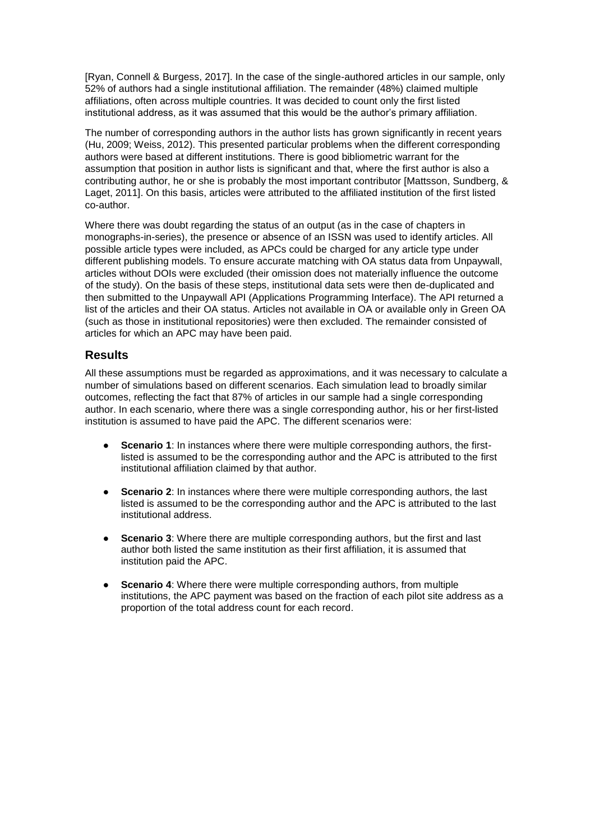[Ryan, Connell & Burgess, 2017]. In the case of the single-authored articles in our sample, only 52% of authors had a single institutional affiliation. The remainder (48%) claimed multiple affiliations, often across multiple countries. It was decided to count only the first listed institutional address, as it was assumed that this would be the author's primary affiliation.

The number of corresponding authors in the author lists has grown significantly in recent years (Hu, 2009; Weiss, 2012). This presented particular problems when the different corresponding authors were based at different institutions. There is good bibliometric warrant for the assumption that position in author lists is significant and that, where the first author is also a contributing author, he or she is probably the most important contributor [Mattsson, Sundberg, & Laget, 2011]. On this basis, articles were attributed to the affiliated institution of the first listed co-author.

Where there was doubt regarding the status of an output (as in the case of chapters in monographs-in-series), the presence or absence of an ISSN was used to identify articles. All possible article types were included, as APCs could be charged for any article type under different publishing models. To ensure accurate matching with OA status data from Unpaywall, articles without DOIs were excluded (their omission does not materially influence the outcome of the study). On the basis of these steps, institutional data sets were then de-duplicated and then submitted to the Unpaywall API (Applications Programming Interface). The API returned a list of the articles and their OA status. Articles not available in OA or available only in Green OA (such as those in institutional repositories) were then excluded. The remainder consisted of articles for which an APC may have been paid.

#### **Results**

All these assumptions must be regarded as approximations, and it was necessary to calculate a number of simulations based on different scenarios. Each simulation lead to broadly similar outcomes, reflecting the fact that 87% of articles in our sample had a single corresponding author. In each scenario, where there was a single corresponding author, his or her first-listed institution is assumed to have paid the APC. The different scenarios were:

- **Scenario 1:** In instances where there were multiple corresponding authors, the firstlisted is assumed to be the corresponding author and the APC is attributed to the first institutional affiliation claimed by that author.
- **Scenario 2:** In instances where there were multiple corresponding authors, the last listed is assumed to be the corresponding author and the APC is attributed to the last institutional address.
- **Scenario 3**: Where there are multiple corresponding authors, but the first and last author both listed the same institution as their first affiliation, it is assumed that institution paid the APC.
- **Scenario 4:** Where there were multiple corresponding authors, from multiple institutions, the APC payment was based on the fraction of each pilot site address as a proportion of the total address count for each record.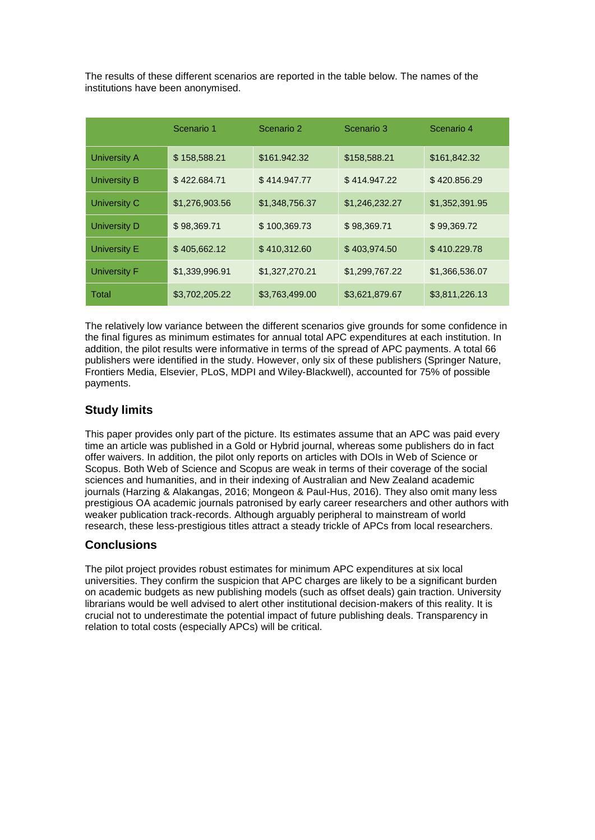The results of these different scenarios are reported in the table below. The names of the institutions have been anonymised.

|                     | Scenario 1     | Scenario 2     | Scenario 3     | Scenario 4     |
|---------------------|----------------|----------------|----------------|----------------|
| <b>University A</b> | \$158,588.21   | \$161.942.32   | \$158,588.21   | \$161,842.32   |
| <b>University B</b> | \$422.684.71   | \$414.947.77   | \$414.947.22   | \$420.856.29   |
| University C        | \$1,276,903.56 | \$1,348,756.37 | \$1,246,232.27 | \$1,352,391.95 |
| <b>University D</b> | \$98,369.71    | \$100,369.73   | \$98,369.71    | \$99,369.72    |
| <b>University E</b> | \$405,662.12   | \$410,312.60   | \$403,974.50   | \$410.229.78   |
| <b>University F</b> | \$1,339,996.91 | \$1,327,270.21 | \$1,299,767.22 | \$1,366,536.07 |
| Total               | \$3,702,205.22 | \$3,763,499.00 | \$3,621,879.67 | \$3,811,226.13 |

The relatively low variance between the different scenarios give grounds for some confidence in the final figures as minimum estimates for annual total APC expenditures at each institution. In addition, the pilot results were informative in terms of the spread of APC payments. A total 66 publishers were identified in the study. However, only six of these publishers (Springer Nature, Frontiers Media, Elsevier, PLoS, MDPI and Wiley-Blackwell), accounted for 75% of possible payments.

#### **Study limits**

This paper provides only part of the picture. Its estimates assume that an APC was paid every time an article was published in a Gold or Hybrid journal, whereas some publishers do in fact offer waivers. In addition, the pilot only reports on articles with DOIs in Web of Science or Scopus. Both Web of Science and Scopus are weak in terms of their coverage of the social sciences and humanities, and in their indexing of Australian and New Zealand academic journals (Harzing & Alakangas, 2016; Mongeon & Paul-Hus, 2016). They also omit many less prestigious OA academic journals patronised by early career researchers and other authors with weaker publication track-records. Although arguably peripheral to mainstream of world research, these less-prestigious titles attract a steady trickle of APCs from local researchers.

#### **Conclusions**

The pilot project provides robust estimates for minimum APC expenditures at six local universities. They confirm the suspicion that APC charges are likely to be a significant burden on academic budgets as new publishing models (such as offset deals) gain traction. University librarians would be well advised to alert other institutional decision-makers of this reality. It is crucial not to underestimate the potential impact of future publishing deals. Transparency in relation to total costs (especially APCs) will be critical.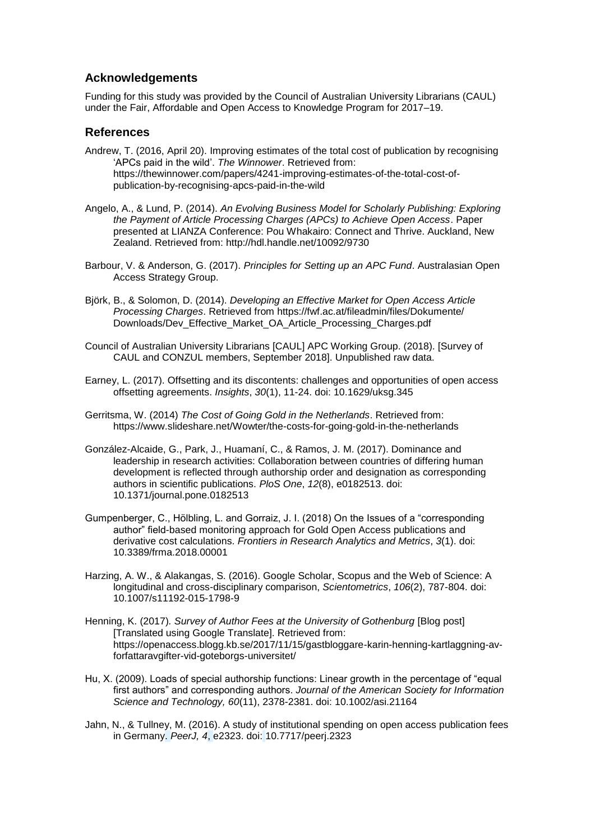#### **Acknowledgements**

Funding for this study was provided by the Council of Australian University Librarians (CAUL) under the Fair, Affordable and Open Access to Knowledge Program for 2017–19.

#### **References**

- Andrew, T. (2016, April 20). Improving estimates of the total cost of publication by recognising 'APCs paid in the wild'. *The Winnower*. Retrieved from: https://thewinnower.com/papers/4241-improving-estimates-of-the-total-cost-ofpublication-by-recognising-apcs-paid-in-the-wild
- Angelo, A., & Lund, P. (2014). *An Evolving Business Model for Scholarly Publishing: Exploring the Payment of Article Processing Charges (APCs) to Achieve Open Access*. Paper presented at LIANZA Conference: Pou Whakairo: Connect and Thrive. Auckland, New Zealand. Retrieved from: http://hdl.handle.net/10092/9730
- Barbour, V. & Anderson, G. (2017). *Principles for Setting up an APC Fund*. Australasian Open Access Strategy Group.
- Björk, B., & Solomon, D. (2014). *Developing an Effective Market for Open Access Article Processing Charges*. Retrieved from https://fwf.ac.at/fileadmin/files/Dokumente/ Downloads/Dev\_Effective\_Market\_OA\_Article\_Processing\_Charges.pdf
- Council of Australian University Librarians [CAUL] APC Working Group. (2018). [Survey of CAUL and CONZUL members, September 2018]. Unpublished raw data.
- Earney, L. (2017). Offsetting and its discontents: challenges and opportunities of open access offsetting agreements. *Insights*, *30*(1), 11-24. doi: 10.1629/uksg.345
- Gerritsma, W. (2014) *The Cost of Going Gold in the Netherlands*. Retrieved from: https://www.slideshare.net/Wowter/the-costs-for-going-gold-in-the-netherlands
- González-Alcaide, G., Park, J., Huamaní, C., & Ramos, J. M. (2017). Dominance and leadership in research activities: Collaboration between countries of differing human development is reflected through authorship order and designation as corresponding authors in scientific publications. *PloS One*, *12*(8), e0182513. doi: 10.1371/journal.pone.0182513
- Gumpenberger, C., Hölbling, L. and Gorraiz, J. I. (2018) On the Issues of a "corresponding author" field-based monitoring approach for Gold Open Access publications and derivative cost calculations. *Frontiers in Research Analytics and Metrics*, *3*(1). doi: 10.3389/frma.2018.00001
- Harzing, A. W., & Alakangas, S. (2016). Google Scholar, Scopus and the Web of Science: A longitudinal and cross-disciplinary comparison, *Scientometrics*, *106*(2), 787-804. doi: 10.1007/s11192-015-1798-9
- Henning, K. (2017)*. Survey of Author Fees at the University of Gothenburg* [Blog post] [Translated using Google Translate]. Retrieved from: https://openaccess.blogg.kb.se/2017/11/15/gastbloggare-karin-henning-kartlaggning-avforfattaravgifter-vid-goteborgs-universitet/
- Hu, X. (2009). Loads of special authorship functions: Linear growth in the percentage of "equal first authors" and corresponding authors. *Journal of the American Society for Information Science and Technology, 60*(11), 2378-2381. doi: 10.1002/asi.21164
- Jahn, N., & Tullney, M. (2016). A study of institutional spending on open access publication fees in Germany. *PeerJ, 4*, e2323. doi: 10.7717/peerj.2323